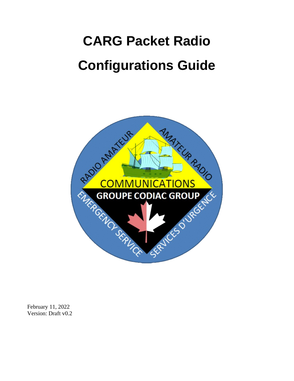# **CARG Packet Radio Configurations Guide**



February 11, 2022 Version: Draft v0.2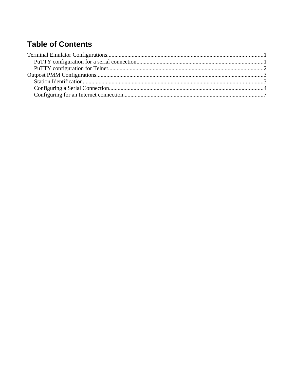#### **Table of Contents**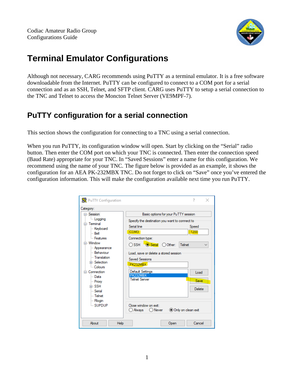

### <span id="page-2-1"></span>**Terminal Emulator Configurations**

Although not necessary, CARG recommends using PuTTY as a terminal emulator. It is a free software downloadable from the Internet. PuTTY can be configured to connect to a COM port for a serial connection and as an SSH, Telnet, and SFTP client. CARG uses PuTTY to setup a serial connection to the TNC and Telnet to access the Moncton Telnet Server (VE9MPF-7).

#### <span id="page-2-0"></span>**PuTTY configuration for a serial connection**

This section shows the configuration for connecting to a TNC using a serial connection.

When you run PuTTY, its configuration window will open. Start by clicking on the "Serial" radio button. Then enter the COM port on which your TNC is connected. Then enter the connection speed (Baud Rate) appropriate for your TNC. In "Saved Sessions" enter a name for this configuration. We recommend using the name of your TNC. The figure below is provided as an example, it shows the configuration for an AEA PK-232MBX TNC. Do not forget to click on "Save" once you've entered the configuration information. This will make the configuration available next time you run PuTTY.

| PuTTY Configuration                                                                                                                                                                                                                                                                           |                                                                                                                                                                                                                                                                                                                                       | 7<br>×                                                   |
|-----------------------------------------------------------------------------------------------------------------------------------------------------------------------------------------------------------------------------------------------------------------------------------------------|---------------------------------------------------------------------------------------------------------------------------------------------------------------------------------------------------------------------------------------------------------------------------------------------------------------------------------------|----------------------------------------------------------|
| Category:<br>⊟- Session<br>Logging<br>⊟ Terminal<br>Keyboard<br>i⊹ Bell<br><b>Eeatures</b><br>≐⊢Window<br>- Appearance<br>- Behaviour<br>- Translation<br>Fi-Selection<br>- Colours<br>□ Connection<br>l— Data<br>- Proxy<br>中·SSH<br><b>Serial</b><br>l— Telnet<br><b>Rlogin</b><br>i supdup | Basic options for your PuTTY session<br>Specify the destination you want to connect to<br>Serial line<br>COM3<br>Connection type:<br>Serial O Other:<br>$\bigcirc$ SSH<br>Load, save or delete a stored session<br><b>Saved Sessions</b><br>PK232MBX<br>Default Settings<br>PK232MBX<br><b>Telnet Server</b><br>Close window on exit: | Speed<br>1200<br>Telnet<br>Load<br><b>Save</b><br>Delete |
|                                                                                                                                                                                                                                                                                               | ) Always<br>◯ Never                                                                                                                                                                                                                                                                                                                   | O Only on clean exit                                     |
| About<br>Help                                                                                                                                                                                                                                                                                 | Open                                                                                                                                                                                                                                                                                                                                  | Cancel                                                   |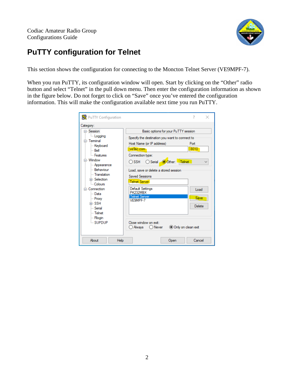

#### <span id="page-3-0"></span>**PuTTY configuration for Telnet**

This section shows the configuration for connecting to the Moncton Telnet Server (VE9MPF-7).

When you run PuTTY, its configuration window will open. Start by clicking on the "Other" radio button and select "Telnet" in the pull down menu. Then enter the configuration information as shown in the figure below. Do not forget to click on "Save" once you've entered the configuration information. This will make the configuration available next time you run PuTTY.

| PuTTY Configuration                                                                                                                                                                                                                                                                  | ×                                                                                                                                                                                                                                                                                                                                                                                                                                                                                     |
|--------------------------------------------------------------------------------------------------------------------------------------------------------------------------------------------------------------------------------------------------------------------------------------|---------------------------------------------------------------------------------------------------------------------------------------------------------------------------------------------------------------------------------------------------------------------------------------------------------------------------------------------------------------------------------------------------------------------------------------------------------------------------------------|
| Category:                                                                                                                                                                                                                                                                            |                                                                                                                                                                                                                                                                                                                                                                                                                                                                                       |
| ⊟- Session<br><b>Logging</b><br>⊟ Terminal<br>Keyboard<br>i… Bell<br><b>Eeatures</b><br>⊟ Window<br>- Appearance<br>- Behaviour<br>- Translation<br>Fi-Selection<br>- Colours<br>⊟- Connection<br>l— Data<br>- Proxy<br>中·SSH<br>l… Serial<br>l— Telnet<br><b>Rlogin</b><br>i supdup | Basic options for your PuTTY session<br>Specify the destination you want to connect to<br>Host Name (or IP address)<br>Port<br>8010<br>ve9sc.com<br>Connection type:<br>Telnet<br>Other:<br>○ SSH<br>$\bigcirc$ Serial.<br>Load, save or delete a stored session<br><b>Saved Sessions</b><br><b>Telnet Server</b><br>Default Settings<br>Load<br>PK232MBX<br><b>Telnet Server</b><br>Save<br>VE9MPF-7<br>Delete<br>Close window on exit:<br>Only on clean exit<br>) Always<br>◯ Never |
| About<br>Help                                                                                                                                                                                                                                                                        | Cancel<br>Open                                                                                                                                                                                                                                                                                                                                                                                                                                                                        |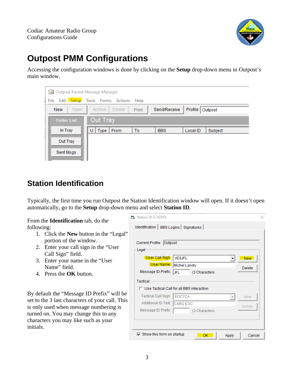

## <span id="page-4-1"></span>**Outpost PMM Configurations**

Accessing the configuration windows is done by clicking on the **Setup** drop-down menu in Outpost's main window.

| <b>A Outpost Packet Message Manager</b> |                                                                |  |  |  |  |
|-----------------------------------------|----------------------------------------------------------------|--|--|--|--|
| File                                    | Edit Setup Tools Forms Actions Help                            |  |  |  |  |
| <b>New</b><br>Open                      | Send/Receive<br>Profile: Outpost<br>Archive<br>Delete<br>Print |  |  |  |  |
| <b>Folder List</b>                      | Out Tray                                                       |  |  |  |  |
| In Tray                                 | Type  <br>From<br>To<br><b>BBS</b><br>Local ID<br>Subject<br>U |  |  |  |  |
| Out Tray                                |                                                                |  |  |  |  |
| Sent Msgs                               |                                                                |  |  |  |  |

#### <span id="page-4-0"></span>**Station Identification**

Typically, the first time you run Outpost the Station Identification window will open. If it doesn't open automatically, go to the **Setup** drop-down menu and select **Station ID**.

From the **Identification** tab, do the following:

- 1. Click the **New** button in the "Legal" portion of the window.
- 2. Enter your call sign in the "User Call Sign" field.
- 3. Enter your name in the "User Name" field.
- 4. Press the **OK** button.

By default the "Message ID Prefix" will be set to the 3 last characters of your call. This is only used when message numbering is turned on. You may change this to any characters you may like such as your initials.

| Station ID is VE9JFL                     |                                             |  |  |  |  |  |
|------------------------------------------|---------------------------------------------|--|--|--|--|--|
| Identification   BBS Logins   Signatures |                                             |  |  |  |  |  |
|                                          |                                             |  |  |  |  |  |
| Current Profile: Outpost                 |                                             |  |  |  |  |  |
| Legal                                    |                                             |  |  |  |  |  |
| User Call Sign:                          | <b>VE9JFL</b><br>New.                       |  |  |  |  |  |
|                                          | User Name: Michel Landry<br>Delete          |  |  |  |  |  |
| Message ID Prefix:                       | <b>JFL</b><br>(3 Characters                 |  |  |  |  |  |
| Tactical                                 |                                             |  |  |  |  |  |
|                                          | □ Use Tactical Call for all BBS interaction |  |  |  |  |  |
| Tactical Call Sign: EOC7CA               | New                                         |  |  |  |  |  |
| Additional ID Text:                      | CARG EOC<br>Delete                          |  |  |  |  |  |
| Message ID Prefix:                       | (3 Characters                               |  |  |  |  |  |
|                                          |                                             |  |  |  |  |  |
|                                          |                                             |  |  |  |  |  |
| $\nabla$ Show this form on startup       | Cancel<br>Apply<br>ок                       |  |  |  |  |  |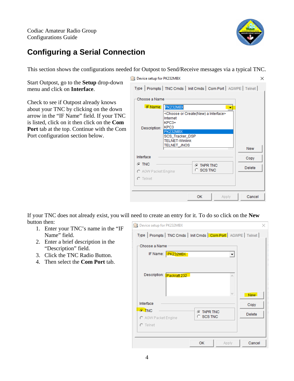

#### <span id="page-5-0"></span>**Configuring a Serial Connection**

This section shows the configurations needed for Outpost to Send/Receive messages via a typical TNC.

Start Outpost, go to the **Setup** drop-down menu and click on **Interface**.

Check to see if Outpost already knows about your TNC by clicking on the down arrow in the "IF Name" field. If your TNC is listed, click on it then click on the **Com Port** tab at the top. Continue with the Com Port configuration section below.

| <b>Device setup for PK232MBX</b>  |                                                                                                                                                                                              |                   |       |                                     | × |
|-----------------------------------|----------------------------------------------------------------------------------------------------------------------------------------------------------------------------------------------|-------------------|-------|-------------------------------------|---|
|                                   | Type   Prompts   TNC Cmds   Init Cmds   Com Port   AGWPE   Telnet                                                                                                                            |                   |       |                                     |   |
| Choose a Name                     |                                                                                                                                                                                              |                   |       |                                     |   |
| Description:                      | <b>IF Name: PK232MBX</b><br><choose a="" create(new)="" interface="" or=""><br/>Internet<br/><math>KPC3+</math><br/>KPC3<br/>PK232MBX<br/>SCS_Tracker_DSP<br/><b>TELNET-Winlink</b></choose> |                   |       |                                     |   |
| Interface<br>$G$ TNC              | <b>TELNET_JNOS</b>                                                                                                                                                                           | <b>G</b> TAPR TNC |       | <b>New</b><br>Copy<br><b>Delete</b> |   |
| C AGW Packet Engine<br>$C$ Telnet |                                                                                                                                                                                              | $\circ$ scs TNC   |       |                                     |   |
|                                   |                                                                                                                                                                                              | <b>OK</b>         | Apply | Cancel                              |   |

If your TNC does not already exist, you will need to create an entry for it. To do so click on the **New** button then:

- 1. Enter your TNC's name in the "IF Name" field.
- 2. Enter a brief description in the "Description" field.
- 3. Click the TNC Radio Button.
- 4. Then select the **Com Port** tab.

| Device setup for PK232MBX    |                                                                   | ×             |
|------------------------------|-------------------------------------------------------------------|---------------|
|                              | Type   Prompts   TNC Cmds   Init Cmds   Com Port   AGWPE   Telnet |               |
| Choose a Name                |                                                                   |               |
| IF Name: <b>PK232MBX</b>     |                                                                   |               |
|                              |                                                                   |               |
| Description:<br>Packratt 232 | ۸                                                                 |               |
|                              |                                                                   |               |
|                              |                                                                   | New           |
| Interface                    |                                                                   | Copy          |
| $G$ . TNC                    | <b>G</b> TAPR TNC                                                 | <b>Delete</b> |
| C AGW Packet Engine          | C SCS TNC                                                         |               |
| $C$ Telnet                   |                                                                   |               |
|                              |                                                                   |               |
|                              | OK<br>Apply                                                       | Cancel        |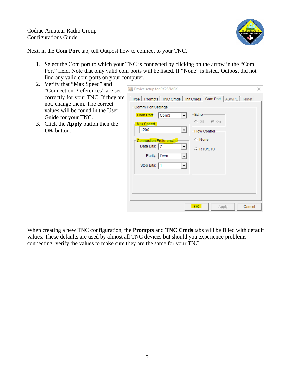

Next, in the **Com Port** tab, tell Outpost how to connect to your TNC.

- 1. Select the Com port to which your TNC is connected by clicking on the arrow in the "Com Port" field. Note that only valid com ports will be listed. If "None" is listed, Outpost did not find any valid com ports on your computer.
- 2. Verify that "Max Speed" and "Connection Preferences" are set correctly for your TNC. If they are not, change them. The correct values will be found in the User Guide for your TNC.
- 3. Click the **Apply** button then the **OK** button.

| ▾╎<br><b>G</b> RTS/CTS<br>Parity: Even<br>÷<br>Stop Bits:   1<br>$\blacktriangledown$ | Device setup for PK232MBX<br>Comm Port Settings<br>Com Port:<br>Com <sub>3</sub><br><del>⊢</del> Max Speed−<br>1200<br>▼∣<br><b>Connection Preferences-</b><br>Data Bits: 7 | Type   Prompts   TNC Cmds   Init Cmds   Com Port   AGWPE   Telnet  <br>Echo<br>$O$ Off $\odot$ On<br><b>Flow Control</b><br>$\cap$ None |
|---------------------------------------------------------------------------------------|-----------------------------------------------------------------------------------------------------------------------------------------------------------------------------|-----------------------------------------------------------------------------------------------------------------------------------------|
|---------------------------------------------------------------------------------------|-----------------------------------------------------------------------------------------------------------------------------------------------------------------------------|-----------------------------------------------------------------------------------------------------------------------------------------|

When creating a new TNC configuration, the **Prompts** and **TNC Cmds** tabs will be filled with default values. These defaults are used by almost all TNC devices but should you experience problems connecting, verify the values to make sure they are the same for your TNC.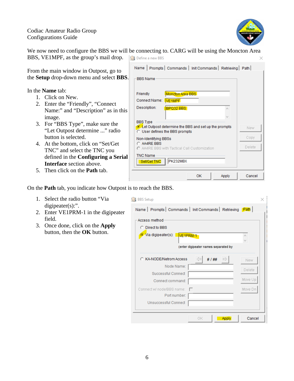

 $\times$ 

We now need to configure the BBS we will be connecting to. CARG will be using the Moncton Area BBS, VE1MPF, as the group's mail drop. **Define a new BBS** 

From the main window in Outpost, go to the **Setup** drop-down menu and select **BBS**.

In the **Name** tab:

- 1. Click on New.
- 2. Enter the "Friendly", "Connect Name:" and "Description" as in this image.
- 3. For "BBS Type", make sure the "Let Outpost determine ..." radio button is selected.
- 4. At the bottom, click on "Set/Get TNC" and select the TNC you defined in the **Configuring a Serial Interface** section above.
- 5. Then click on the **Path** tab.

| Name   Prompts   Commands   Init Commands   Retrieving   Path                                               |        |
|-------------------------------------------------------------------------------------------------------------|--------|
| <b>BBS Name</b>                                                                                             |        |
| Friendly                                                                                                    |        |
| Moncton Area BBS<br>Connect Name:<br><b>VE1MPF</b>                                                          |        |
| Description:<br>BPQ32 BBS<br>×                                                                              |        |
|                                                                                                             |        |
| <b>BBS</b> Type<br>C Let Outpost determine the BBS and set up the prompts<br>C User defines the BBS prompts | New    |
| Non-Identifying BBSs                                                                                        | Copy   |
| C AA4RF BBS<br>C AA4RE BBS with Tactical Call Customization                                                 | Delete |
| <b>TNC Name</b><br>PK232MBX<br>Set/Get TNC                                                                  |        |
| OK<br>Apply                                                                                                 | Cancel |
|                                                                                                             |        |

On the **Path** tab, you indicate how Outpost is to reach the BBS.

- 1. Select the radio button "Via digipeater(s):".
- 2. Enter VE1PRM-1 in the digipeater field.
- 3. Once done, click on the **Apply** button, then the **OK** button.

| <b>BBS</b> Setup                                                      |               |
|-----------------------------------------------------------------------|---------------|
| Name   Prompts   Commands   Init Commands   Retrieving Path           |               |
| Access method<br>C Direct to BBS<br>C Via digipeater(s): VE1PRM-1     | ۸             |
| (enter digipeater names separated by                                  |               |
| C KA-NODE/Netrom Access<br># 1 ##<br>Node Name:<br>Successful Connect | New<br>Delete |
| Connect command:                                                      | Move Up       |
| Connect w/ node/BBS name:<br>Port number:<br>Unsuccessful Connect     | Move Dn       |
| Apply<br>ΟK                                                           | Cancel        |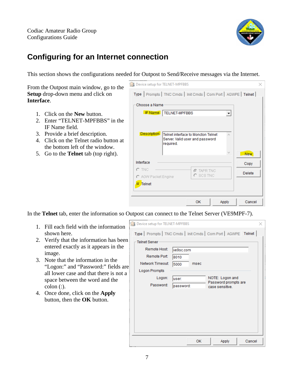

#### <span id="page-8-0"></span>**Configuring for an Internet connection**

This section shows the configurations needed for Outpost to Send/Receive messages via the Internet.

From the Outpost main window, go to the **Setup** drop-down menu and click on **Interface**.

- 1. Click on the **New** button.
- 2. Enter "TELNET-MPFBBS" in the IF Name field.
- 3. Provide a brief description.
- 4. Click on the Telnet radio button at the bottom left of the window.
- 5. Go to the **Telnet** tab (top right).

| <b>B</b> Device setup for TELNET-MPFBBS |                                                                            |  |
|-----------------------------------------|----------------------------------------------------------------------------|--|
|                                         | Type   Prompts   TNC Cmds   Init Cmds   Com Port   AGWPE   Telnet          |  |
| Choose a Name                           |                                                                            |  |
|                                         | <b>IF Name: TELNET-MPFBBS</b><br>▼                                         |  |
|                                         |                                                                            |  |
| Description:                            | Telnet interface to Moncton Telnet<br>۸<br>Server. Valid user and password |  |
|                                         | required.                                                                  |  |
|                                         | w<br>New <sup>1</sup>                                                      |  |
| Interface                               | Copy                                                                       |  |
| $\cap$ tnc                              | <b>@ TAPR TNC</b><br><b>Delete</b><br>$C$ scs TNC                          |  |
| C AGW Packet Engine                     |                                                                            |  |
| Telnet                                  |                                                                            |  |
|                                         |                                                                            |  |
|                                         | OK<br>Cancel<br>Apply                                                      |  |

In the **Telnet** tab, enter the information so Outpost can connect to the Telnet Server (VE9MPF-7).

- 1. Fill each field with the information shown here.
- 2. Verify that the information has been entered exactly as it appears in the image.
- 3. Note that the information in the "Logon:" and "Password:" fields are all lower case and that there is not a space between the word and the  $\text{colon}$   $(:).$
- 4. Once done, click on the **Apply** button, then the **OK** button.

|   | Device setup for TELNET-MPFBBS                                    |              |                                         |        |
|---|-------------------------------------------------------------------|--------------|-----------------------------------------|--------|
|   | Type   Prompts   TNC Cmds   Init Cmds   Com Port   AGWPE   Telnet |              |                                         |        |
|   | <b>Telnet Server</b>                                              |              |                                         |        |
|   | <b>Remote Host:</b>                                               | ve9sc.com    |                                         |        |
|   | Remote Port:                                                      | 8010         |                                         |        |
| e | Network Timeout:                                                  | 5000<br>msec |                                         |        |
|   | Logon Prompts                                                     |              |                                         |        |
|   | Logon:                                                            | user:        | NOTE: Logon and<br>Password prompts are |        |
|   | Password:                                                         | password:    | case sensitive.                         |        |
|   |                                                                   |              |                                         |        |
|   |                                                                   |              |                                         |        |
|   |                                                                   |              |                                         |        |
|   |                                                                   |              |                                         |        |
|   |                                                                   |              |                                         |        |
|   |                                                                   |              |                                         |        |
|   |                                                                   | OK           | Apply                                   | Cancel |